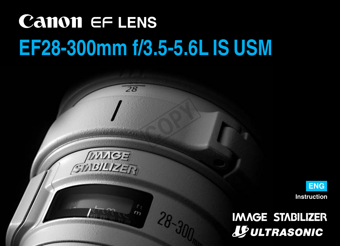# **Canon EF LENS EF28-300mm f/3.5-5.6L IS USM**

 $\overline{28}$ 

 $MMS$ GINBILIZER COPY

28-300



# **IMAGE STABILIZER JEULTRASONIC**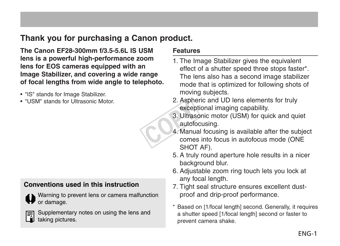#### **Thank you for purchasing a Canon product.**

**The Canon EF28-300mm f/3.5-5.6L IS USM lens is a powerful high-performance zoom lens for EOS cameras equipped with an Image Stabilizer, and covering a wide range of focal lengths from wide angle to telephoto.**

- "IS" stands for Image Stabilizer.
- "USM" stands for Ultrasonic Motor.

#### **Conventions used in this instruction**

Warning to prevent lens or camera malfunction or damage.

|--|

Supplementary notes on using the lens and taking pictures.

#### **Features**

- 1. The Image Stabilizer gives the equivalent effect of a shutter speed three stops faster\*. The lens also has a second image stabilizer mode that is optimized for following shots of moving subjects.
- 2. Aspheric and UD lens elements for truly exceptional imaging capability.
- 3. Ultrasonic motor (USM) for quick and quiet autofocusing.
- 4. Manual focusing is available after the subject comes into focus in autofocus mode (ONE SHOT AF). E. Aspre<br>
excep<br>
3. Ultras<br>
autofo<br>
4. Manua<br>
come
	- 5. A truly round aperture hole results in a nicer background blur.
	- 6. Adjustable zoom ring touch lets you lock at any focal length.
	- 7. Tight seal structure ensures excellent dustproof and drip-proof performance.
	- \* Based on [1/focal length] second. Generally, it requires a shutter speed [1/focal length] second or faster to prevent camera shake.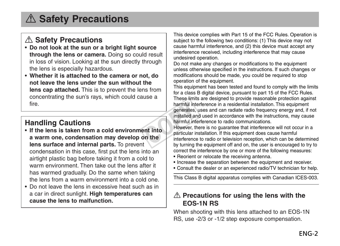# a **Safety Precautions**

#### a **Safety Precautions**

- **Do not look at the sun or a bright light source through the lens or camera.** Doing so could result in loss of vision. Looking at the sun directly through the lens is especially hazardous.
- **Whether it is attached to the camera or not, do not leave the lens under the sun without the lens cap attached.** This is to prevent the lens from concentrating the sun's rays, which could cause a fire.

#### **Handling Cautions**

- **If the lens is taken from a cold environment into a warm one, condensation may develop on the lens surface and internal parts.** To prevent condensation in this case, first put the lens into an airtight plastic bag before taking it from a cold to warm environment. Then take out the lens after it has warmed gradually. Do the same when taking the lens from a warm environment into a cold one.
- Do not leave the lens in excessive heat such as in a car in direct sunlight. **High temperatures can cause the lens to malfunction.**

This device complies with Part 15 of the FCC Rules. Operation is subject to the following two conditions: (1) This device may not cause harmful interference, and (2) this device must accept any interference received, including interference that may cause undesired operation.

Do not make any changes or modifications to the equipment unless otherwise specified in the instructions. If such changes or modifications should be made, you could be required to stop operation of the equipment.

This equipment has been tested and found to comply with the limits for a class B digital device, pursuant to part 15 of the FCC Rules. These limits are designed to provide reasonable protection against harmful interference in a residential installation. This equipment generates, uses and can radiate radio frequency energy and, if not installed and used in accordance with the instructions, may cause harmful interference to radio communications. harmful inte<br>
generates,<br>
installed an<br>
larmful inte<br>
harmful inte<br>
harmful interference<br>
the protections<br>
the protections<br>
the protections<br>
the protections<br>
the protections<br>
the protections<br>
the protections<br>
the protectio

However, there is no guarantee that interference will not occur in a particular installation. If this equipment does cause harmful interference to radio or television reception, which can be determined by turning the equipment off and on, the user is encouraged to try to correct the interference by one or more of the following measures:

- Reorient or relocate the receiving antenna.
- Increase the separation between the equipment and receiver.
- Consult the dealer or an experienced radio/TV technician for help.

This Class B digital apparatus complies with Canadian ICES-003.

#### A Precautions for using the lens with the **EOS-1N RS**

When shooting with this lens attached to an EOS-1N RS, use -2/3 or -1/2 step exposure compensation.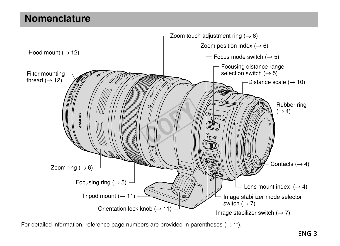#### **Nomenclature**



For detailed information, reference page numbers are provided in parentheses ( $\rightarrow$ \*\*).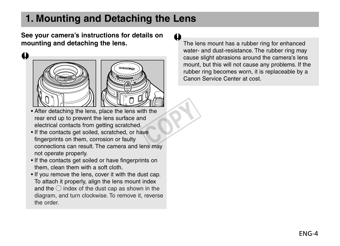### **1. Mounting and Detaching the Lens**

**See your camera's instructions for details on mounting and detaching the lens.**

 $\ddot{\bullet}$ 





- After detaching the lens, place the lens with the rear end up to prevent the lens surface and electrical contacts from getting scratched.
- If the contacts get soiled, scratched, or have fingerprints on them, corrosion or faulty connections can result. The camera and lens may not operate properly.  $\frac{1}{2}$ <br>th the dd<br>ve
- If the contacts get soiled or have fingerprints on them, clean them with a soft cloth.
- If you remove the lens, cover it with the dust cap. To attach it properly, align the lens mount index and the  $\bigcirc$  index of the dust cap as shown in the diagram, and turn clockwise. To remove it, reverse the order.

The lens mount has a rubber ring for enhanced water- and dust-resistance. The rubber ring may cause slight abrasions around the camera's lens mount, but this will not cause any problems. If the rubber ring becomes worn, it is replaceable by a Canon Service Center at cost.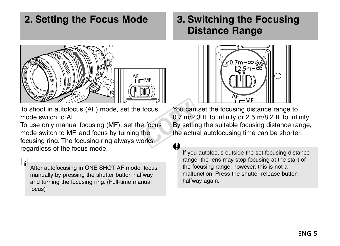#### **2. Setting the Focus Mode**



To shoot in autofocus (AF) mode, set the focus mode switch to AF.

To use only manual focusing (MF), set the focus mode switch to MF, and focus by turning the focusing ring. The focusing ring always works, regardless of the focus mode.

围

After autofocusing in ONE SHOT AF mode, focus manually by pressing the shutter button halfway and turning the focusing ring. (Full-time manual focus)

#### **3. Switching the Focusing Distance Range**



You can set the focusing distance range to 0.7 m/2.3 ft. to infinity or 2.5 m/8.2 ft. to infinity. By setting the suitable focusing distance range, the actual autofocusing time can be shorter. Focus You can<br>
0.7 m/2.<br>
9 focus By settin<br>
the actual<br>
orks,

If you autofocus outside the set focusing distance range, the lens may stop focusing at the start of the focusing range; however, this is not a malfunction. Press the shutter release button halfway again.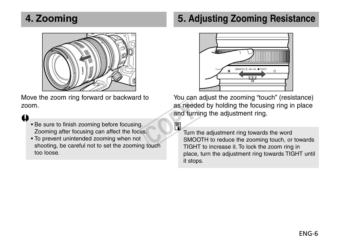### **4. Zooming**



Move the zoom ring forward or backward to zoom.

#### a

- Be sure to finish zooming before focusing. Zooming after focusing can affect the focus.
- To prevent unintended zooming when not shooting, be careful not to set the zooming touch too loose.

### **5. Adjusting Zooming Resistance**



You can adjust the zooming "touch" (resistance) as needed by holding the focusing ring in place and turning the adjustment ring. as need<br>and turn<br>s.<br>S.<br>S. S. S. S. S.

| - |  |  |
|---|--|--|
|   |  |  |
|   |  |  |

Turn the adjustment ring towards the word SMOOTH to reduce the zooming touch, or towards TIGHT to increase it. To lock the zoom ring in place, turn the adjustment ring towards TIGHT until it stops.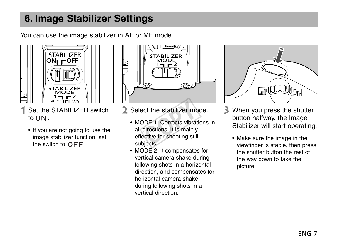### **6. Image Stabilizer Settings**

You can use the image stabilizer in AF or MF mode.



- 1 Set the STABILIZER switch to ON.
	- If you are not going to use the image stabilizer function, set the switch to  $\overline{OFE}$ .



- 
- Select the stabilizer mode.<br>
 MODE 1: Corrects vibrations<br>
all directions. It is mainly<br>
effective for shooting still<br>
subiects. • MODE 1: Corrects vibrations in all directions. It is mainly effective for shooting still subjects.
	- MODE 2: It compensates for vertical camera shake during following shots in a horizontal direction, and compensates for horizontal camera shake during following shots in a vertical direction.



- When you press the shutter button halfway, the Image Stabilizer will start operating.
	- Make sure the image in the viewfinder is stable, then press the shutter button the rest of the way down to take the picture.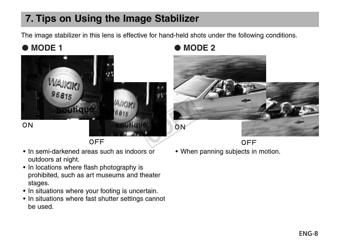### **7. Tips on Using the Image Stabilizer**

The image stabilizer in this lens is effective for hand-held shots under the following conditions.



OFF

- In semi-darkened areas such as indoors or outdoors at night.
- In locations where flash photography is prohibited, such as art museums and theater stages.
- In situations where your footing is uncertain.
- In situations where fast shutter settings cannot be used.

● **MODE 1** ● **MODE 2** 



OFF

• When panning subjects in motion.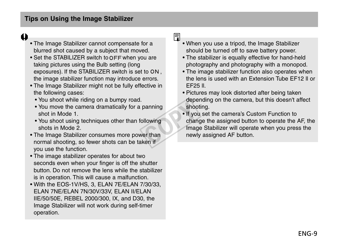#### $\bullet$

- The Image Stabilizer cannot compensate for a blurred shot caused by a subject that moved.
- Set the STABILIZER switch to OFF when you are taking pictures using the Bulb setting (long exposures). If the STABILIZER switch is set to ON, the image stabilizer function may introduce errors.
- The Image Stabilizer might not be fully effective in the following cases:
	- You shoot while riding on a bumpy road.
	- You move the camera dramatically for a panning shot in Mode 1.
	- You shoot using techniques other than following shots in Mode 2.
- The Image Stabilizer consumes more power than normal shooting, so fewer shots can be taken if you use the function.
- The image stabilizer operates for about two seconds even when your finger is off the shutter button. Do not remove the lens while the stabilizer is in operation. This will cause a malfunction.
- With the EOS-1V/HS, 3, ELAN 7E/ELAN 7/30/33, ELAN 7NE/ELAN 7N/30V/33V, ELAN II/ELAN IIE/50/50E, REBEL 2000/300, IX, and D30, the Image Stabilizer will not work during self-timer operation.

#### 同

- When you use a tripod, the Image Stabilizer should be turned off to save battery power.
- The stabilizer is equally effective for hand-held photography and photography with a monopod.
- The image stabilizer function also operates when the lens is used with an Extension Tube EF12 ll or EF25 ll.
- Pictures may look distorted after being taken depending on the camera, but this doesn't affect shooting.
- If you set the camera's Custom Function to change the assigned button to operate the AF, the Image Stabilizer will operate when you press the newly assigned AF button. panning<br>
shoc<br>
Illowing<br>
onlar Imag<br>
er than newl<br>
ken if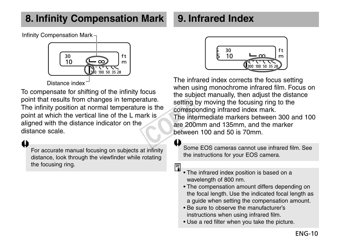## **8. Infinity Compensation Mark**

### **9. Infrared Index**

Infinity Compensation Mark



Distance index

To compensate for shifting of the infinity focus point that results from changes in temperature. The infinity position at normal temperature is the point at which the vertical line of the L mark is aligned with the distance indicator on the distance scale.

a

For accurate manual focusing on subjects at infinity distance, look through the viewfinder while rotating the focusing ring.



The infrared index corrects the focus setting when using monochrome infrared film. Focus on the subject manually, then adjust the distance setting by moving the focusing ring to the corresponding infrared index mark. The intermediate markers between 300 and 100 are 200mm and 135mm, and the marker between 100 and 50 is 70mm. setting the<br>e is the correspondent is<br>ark is<br>the integrate are 200r<br>between

Some EOS cameras cannot use infrared film. See the instructions for your EOS camera.

围

- The infrared index position is based on a wavelength of 800 nm.
- The compensation amount differs depending on the focal length. Use the indicated focal length as a guide when setting the compensation amount.
- Be sure to observe the manufacturer's instructions when using infrared film.
- Use a red filter when you take the picture.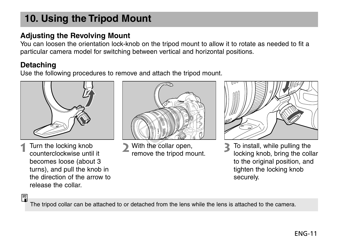### **10. Using the Tripod Mount**

#### **Adjusting the Revolving Mount**

You can loosen the orientation lock-knob on the tripod mount to allow it to rotate as needed to fit a particular camera model for switching between vertical and horizontal positions.

#### **Detaching**

Use the following procedures to remove and attach the tripod mount.



Turn the locking knob counterclockwise until it becomes loose (about 3 turns), and pull the knob in the direction of the arrow to release the collar.



With the collar open, remove the tripod mount.



To install, while pulling the locking knob, bring the collar to the original position, and tighten the locking knob securely.

围

The tripod collar can be attached to or detached from the lens while the lens is attached to the camera.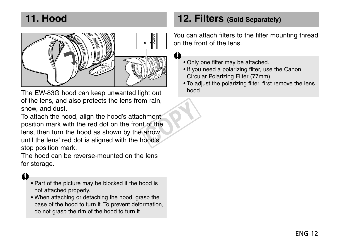### **11. Hood**



The EW-83G hood can keep unwanted light out of the lens, and also protects the lens from rain, snow, and dust.

To attach the hood, align the hood's attachment position mark with the red dot on the front of the lens, then turn the hood as shown by the arrow until the lens' red dot is aligned with the hood's stop position mark. hment<br>t of the<br>arrow<br>nood's

The hood can be reverse-mounted on the lens for storage.

#### a

- Part of the picture may be blocked if the hood is not attached properly.
- When attaching or detaching the hood, grasp the base of the hood to turn it. To prevent deformation, do not grasp the rim of the hood to turn it.

#### **12. Filters (Sold Separately)**

You can attach filters to the filter mounting thread on the front of the lens.

• Only one filter may be attached.

H

- If you need a polarizing filter, use the Canon Circular Polarizing Filter (77mm).
- To adjust the polarizing filter, first remove the lens hood.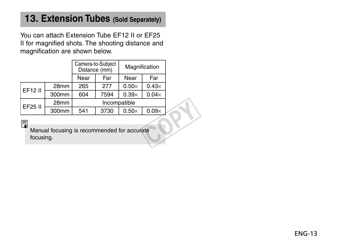#### **13. Extension Tubes (Sold Separately)**

You can attach Extension Tube EF12 II or EF25 II for magnified shots. The shooting distance and magnification are shown below.

|                                                               |                   | Camera-to-Subject<br>Distance (mm) |      | Magnification |              |  |
|---------------------------------------------------------------|-------------------|------------------------------------|------|---------------|--------------|--|
|                                                               |                   | Near                               | Far  | Near          | Far          |  |
| EF12 II                                                       | 28mm              | 265                                | 277  | $0.50\times$  | $0.43\times$ |  |
|                                                               | 300mm             | 604                                | 7594 | $0.39\times$  | $0.04\times$ |  |
| EF25 II                                                       | 28mm              | Incompatible                       |      |               |              |  |
|                                                               | 300 <sub>mm</sub> | 541                                | 3730 | $0.50\times$  | $0.09\times$ |  |
| 6<br>Manual focusing is recommended for accurate<br>focusing. |                   |                                    |      |               |              |  |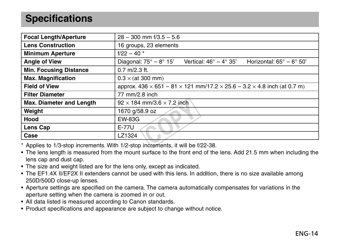### **Specifications**

| <b>Focal Length/Aperture</b>  | $28 - 300$ mm $\frac{1}{3.5} - 5.6$                                                                              |  |  |  |
|-------------------------------|------------------------------------------------------------------------------------------------------------------|--|--|--|
| <b>Lens Construction</b>      | 16 groups, 23 elements                                                                                           |  |  |  |
| <b>Minimum Aperture</b>       | $f/22 - 40$ *                                                                                                    |  |  |  |
| <b>Angle of View</b>          | Diagonal: $75^\circ - 8^\circ 15'$<br>Vertical: $46^\circ - 4^\circ 35'$<br>Horizontal: $65^\circ - 6^\circ 50'$ |  |  |  |
| <b>Min. Focusing Distance</b> | $0.7$ m/2.3 ft.                                                                                                  |  |  |  |
| <b>Max. Magnification</b>     | $0.3 \times$ (at 300 mm)                                                                                         |  |  |  |
| <b>Field of View</b>          | approx. $436 \times 651 - 81 \times 121$ mm/17.2 $\times$ 25.6 - 3.2 $\times$ 4.8 inch (at 0.7 m)                |  |  |  |
| <b>Filter Diameter</b>        | 77 mm/2.8 inch                                                                                                   |  |  |  |
| Max. Diameter and Length      | $92 \times 184$ mm/3.6 $\times$ 7.2 inch                                                                         |  |  |  |
| Weight                        | 1670 g/58.9 oz                                                                                                   |  |  |  |
| Hood                          | <b>EW-83G</b>                                                                                                    |  |  |  |
| Lens Cap                      | E-77U                                                                                                            |  |  |  |
| Case                          | LZ1324                                                                                                           |  |  |  |
|                               | * Applice to 1/2 ctop increments With 1/2 stop increments it will be f/22, 28                                    |  |  |  |

\* Applies to 1/3-stop increments. With 1/2-stop increments, it will be f/22-38.

- The lens length is measured from the mount surface to the front end of the lens. Add 21.5 mm when including the lens cap and dust cap.
- The size and weight listed are for the lens only, except as indicated.
- The EF1.4X II/EF2X II extenders cannot be used with this lens. In addition, there is no size available among 250D/500D close-up lenses.
- Aperture settings are specified on the camera. The camera automatically compensates for variations in the aperture setting when the camera is zoomed in or out.
- All data listed is measured according to Canon standards.
- Product specifications and appearance are subject to change without notice.